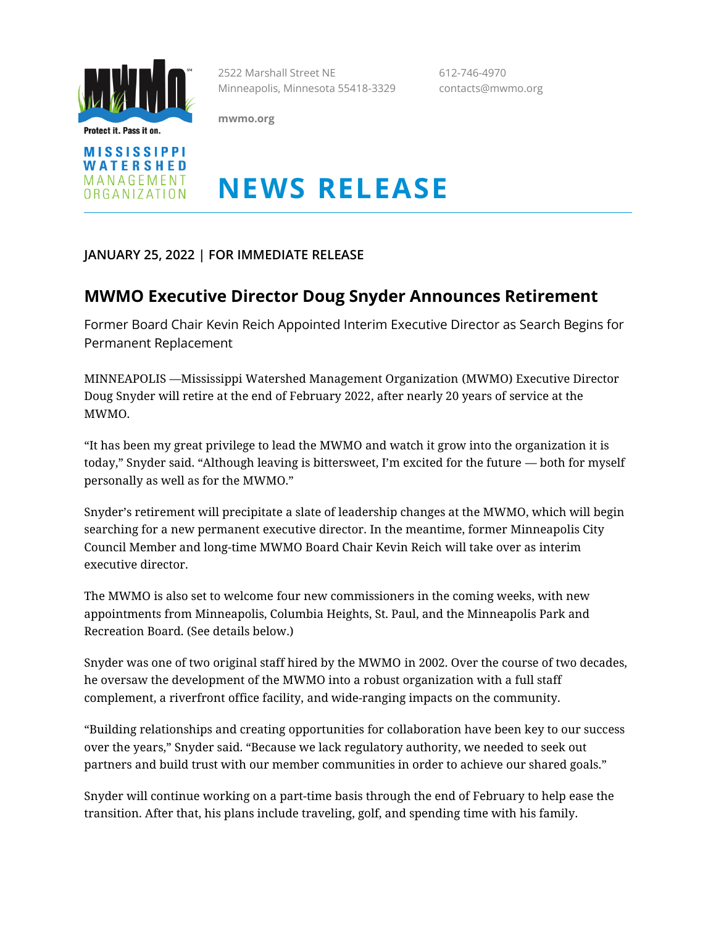

Protect it. Pass it on.

2522 Marshall Street NE 612-746-4970 Minneapolis, Minnesota 55418-3329 contacts@mwmo.org

**mwmo.org**



## **NEWS RELEASE**

**JANUARY 25, 2022 | FOR IMMEDIATE RELEASE**

## **MWMO Executive Director Doug Snyder Announces Retirement**

Former Board Chair Kevin Reich Appointed Interim Executive Director as Search Begins for Permanent Replacement

MINNEAPOLIS —Mississippi Watershed Management Organization (MWMO) Executive Director Doug Snyder will retire at the end of February 2022, after nearly 20 years of service at the MWMO.

"It has been my great privilege to lead the MWMO and watch it grow into the organization it is today," Snyder said. "Although leaving is bittersweet, I'm excited for the future — both for myself personally as well as for the MWMO."

Snyder's retirement will precipitate a slate of leadership changes at the MWMO, which will begin searching for a new permanent executive director. In the meantime, former Minneapolis City Council Member and long-time MWMO Board Chair Kevin Reich will take over as interim executive director.

The MWMO is also set to welcome four new commissioners in the coming weeks, with new appointments from Minneapolis, Columbia Heights, St. Paul, and the Minneapolis Park and Recreation Board. (See details below.)

Snyder was one of two original staff hired by the MWMO in 2002. Over the course of two decades, he oversaw the development of the MWMO into a robust organization with a full staff complement, a riverfront office facility, and wide-ranging impacts on the community.

"Building relationships and creating opportunities for collaboration have been key to our success over the years," Snyder said. "Because we lack regulatory authority, we needed to seek out partners and build trust with our member communities in order to achieve our shared goals."

Snyder will continue working on a part-time basis through the end of February to help ease the transition. After that, his plans include traveling, golf, and spending time with his family.